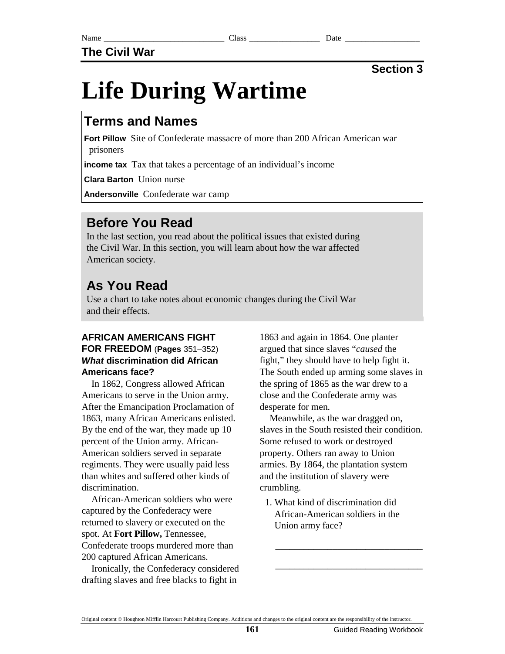#### **Section 3**

# **Life During Wartime**

## **Terms and Names**

**Fort Pillow** Site of Confederate massacre of more than 200 African American war prisoners

**income tax** Tax that takes a percentage of an individual's income

**Clara Barton** Union nurse

**Andersonville** Confederate war camp

## **Before You Read**

In the last section, you read about the political issues that existed during the Civil War. In this section, you will learn about how the war affected American society.

## **As You Read**

Use a chart to take notes about economic changes during the Civil War and their effects.

#### **AFRICAN AMERICANS FIGHT**

**FOR FREEDOM** (**Pages** 351–352) **What discrimination did African Americans face?** 

In 1862, Congress allowed African Americans to serve in the Union army. After the Emancipation Proclamation of 1863, many African Americans enlisted. By the end of the war, they made up 10 percent of the Union army. African-American soldiers served in separate regiments. They were usually paid less than whites and suffered other kinds of discrimination.

African-American soldiers who were captured by the Confederacy were returned to slavery or executed on the spot. At **Fort Pillow,** Tennessee, Confederate troops murdered more than 200 captured African Americans.

Ironically, the Confederacy considered drafting slaves and free blacks to fight in

1863 and again in 1864. One planter argued that since slaves "*caused* the fight," they should have to help fight it. The South ended up arming some slaves in the spring of 1865 as the war drew to a close and the Confederate army was desperate for men.

Meanwhile, as the war dragged on, slaves in the South resisted their condition. Some refused to work or destroyed property. Others ran away to Union armies. By 1864, the plantation system and the institution of slavery were crumbling.

 1. What kind of discrimination did African-American soldiers in the Union army face?

\_\_\_\_\_\_\_\_\_\_\_\_\_\_\_\_\_\_\_\_\_\_\_\_\_\_\_\_\_\_\_

\_\_\_\_\_\_\_\_\_\_\_\_\_\_\_\_\_\_\_\_\_\_\_\_\_\_\_\_\_\_\_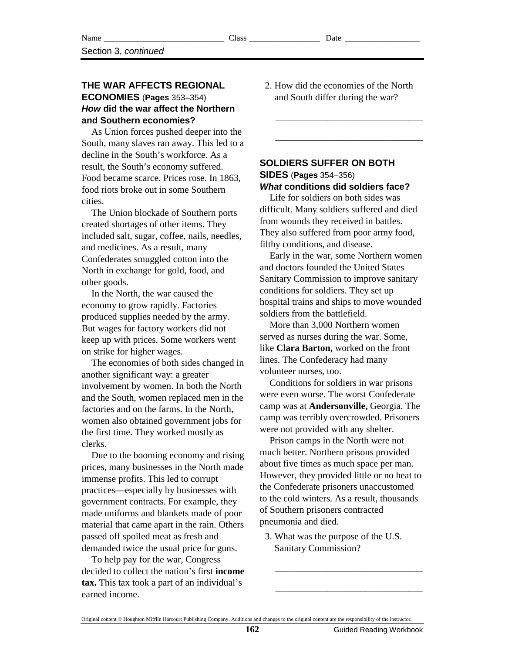#### **THE WAR AFFECTS REGIONAL ECONOMIES** (**Pages** 353–354) **How did the war affect the Northern and Southern economies?**

As Union forces pushed deeper into the South, many slaves ran away. This led to a decline in the South's workforce. As a result, the South's economy suffered. Food became scarce. Prices rose. In 1863, food riots broke out in some Southern cities.

The Union blockade of Southern ports created shortages of other items. They included salt, sugar, coffee, nails, needles, and medicines. As a result, many Confederates smuggled cotton into the North in exchange for gold, food, and other goods.

In the North, the war caused the economy to grow rapidly. Factories produced supplies needed by the army. But wages for factory workers did not keep up with prices. Some workers went on strike for higher wages.

The economies of both sides changed in another significant way: a greater involvement by women. In both the North and the South, women replaced men in the factories and on the farms. In the North, women also obtained government jobs for the first time. They worked mostly as clerks.

Due to the booming economy and rising prices, many businesses in the North made immense profits. This led to corrupt practices—especially by businesses with government contracts. For example, they made uniforms and blankets made of poor material that came apart in the rain. Others passed off spoiled meat as fresh and demanded twice the usual price for guns.

To help pay for the war, Congress decided to collect the nation's first **income tax.** This tax took a part of an individual's earned income.

 2. How did the economies of the North and South differ during the war?

\_\_\_\_\_\_\_\_\_\_\_\_\_\_\_\_\_\_\_\_\_\_\_\_\_\_\_\_\_\_\_

\_\_\_\_\_\_\_\_\_\_\_\_\_\_\_\_\_\_\_\_\_\_\_\_\_\_\_\_\_\_\_

#### **SOLDIERS SUFFER ON BOTH SIDES** (**Pages** 354–356) **What conditions did soldiers face?**

Life for soldiers on both sides was difficult. Many soldiers suffered and died from wounds they received in battles. They also suffered from poor army food, filthy conditions, and disease.

Early in the war, some Northern women and doctors founded the United States Sanitary Commission to improve sanitary conditions for soldiers. They set up hospital trains and ships to move wounded soldiers from the battlefield.

More than 3,000 Northern women served as nurses during the war. Some, like **Clara Barton,** worked on the front lines. The Confederacy had many volunteer nurses, too.

Conditions for soldiers in war prisons were even worse. The worst Confederate camp was at **Andersonville,** Georgia. The camp was terribly overcrowded. Prisoners were not provided with any shelter.

Prison camps in the North were not much better. Northern prisons provided about five times as much space per man. However, they provided little or no heat to the Confederate prisoners unaccustomed to the cold winters. As a result, thousands of Southern prisoners contracted pneumonia and died.

 3. What was the purpose of the U.S. Sanitary Commission?

\_\_\_\_\_\_\_\_\_\_\_\_\_\_\_\_\_\_\_\_\_\_\_\_\_\_\_\_\_\_\_

\_\_\_\_\_\_\_\_\_\_\_\_\_\_\_\_\_\_\_\_\_\_\_\_\_\_\_\_\_\_\_

Original content © Houghton Mifflin Harcourt Publishing Company. Additions and changes to the original content are the responsibility of the instructor.